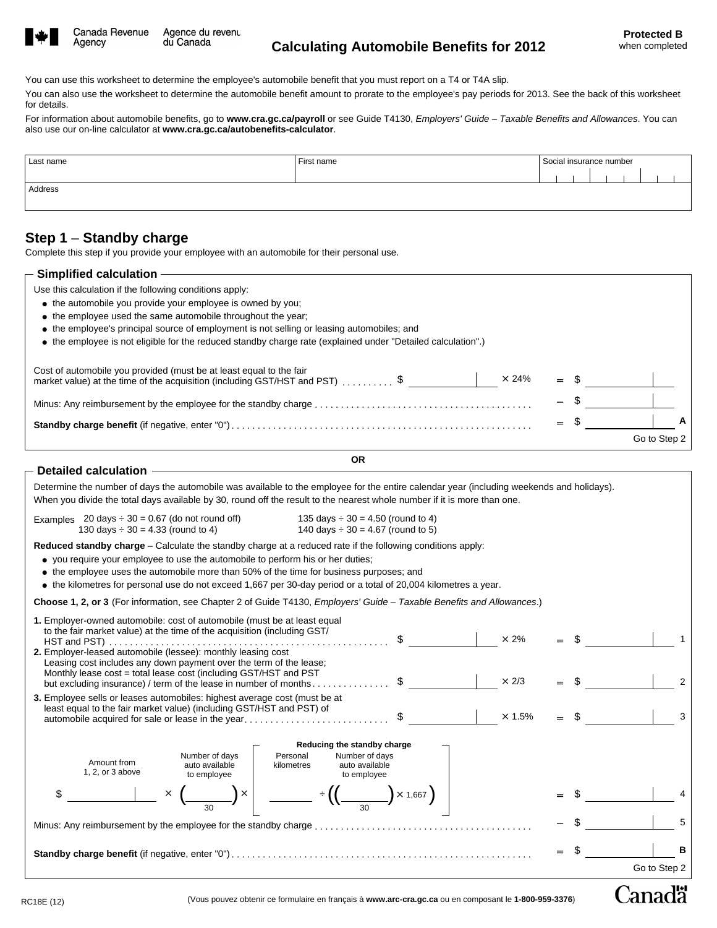

Agency

**Canadä** 

You can use this worksheet to determine the employee's automobile benefit that you must report on a T4 or T4A slip.

You can also use the worksheet to determine the automobile benefit amount to prorate to the employee's pay periods for 2013. See the back of this worksheet for details.

For information about automobile benefits, go to **www.cra.gc.ca/payroll** or see Guide T4130, *Employers' Guide – Taxable Benefits and Allowances*. You can also use our on-line calculator at **www.cra.gc.ca/autobenefits-calculator**.

| Last name | First name | Social insurance number |  |  |  |  |  |  |
|-----------|------------|-------------------------|--|--|--|--|--|--|
|           |            |                         |  |  |  |  |  |  |
| Address   |            |                         |  |  |  |  |  |  |
|           |            |                         |  |  |  |  |  |  |

## **Step 1** – **Standby charge**

Complete this step if you provide your employee with an automobile for their personal use.

| $-$ Simplified calculation                                                                                                                                         |  |              |
|--------------------------------------------------------------------------------------------------------------------------------------------------------------------|--|--------------|
| Use this calculation if the following conditions apply:                                                                                                            |  |              |
| • the automobile you provide your employee is owned by you;                                                                                                        |  |              |
| • the employee used the same automobile throughout the year.                                                                                                       |  |              |
| • the employee's principal source of employment is not selling or leasing automobiles; and                                                                         |  |              |
| • the employee is not eligible for the reduced standby charge rate (explained under "Detailed calculation".)                                                       |  |              |
| Cost of automobile you provided (must be at least equal to the fair<br>market value) at the time of the acquisition (including GST/HST and PST) \$<br>$\times$ 24% |  |              |
|                                                                                                                                                                    |  |              |
|                                                                                                                                                                    |  |              |
|                                                                                                                                                                    |  | Go to Step 2 |

| <b>OR</b><br>Detailed calculation -<br>Determine the number of days the automobile was available to the employee for the entire calendar year (including weekends and holidays).<br>When you divide the total days available by 30, round off the result to the nearest whole number if it is more than one.                                                                                                                                                                                                                                                                                                  |  | A<br>Go to Step 2 |
|---------------------------------------------------------------------------------------------------------------------------------------------------------------------------------------------------------------------------------------------------------------------------------------------------------------------------------------------------------------------------------------------------------------------------------------------------------------------------------------------------------------------------------------------------------------------------------------------------------------|--|-------------------|
|                                                                                                                                                                                                                                                                                                                                                                                                                                                                                                                                                                                                               |  |                   |
|                                                                                                                                                                                                                                                                                                                                                                                                                                                                                                                                                                                                               |  |                   |
|                                                                                                                                                                                                                                                                                                                                                                                                                                                                                                                                                                                                               |  |                   |
|                                                                                                                                                                                                                                                                                                                                                                                                                                                                                                                                                                                                               |  |                   |
|                                                                                                                                                                                                                                                                                                                                                                                                                                                                                                                                                                                                               |  |                   |
|                                                                                                                                                                                                                                                                                                                                                                                                                                                                                                                                                                                                               |  |                   |
| Examples 20 days $\div$ 30 = 0.67 (do not round off)<br>135 days $\div$ 30 = 4.50 (round to 4)<br>130 days $\div$ 30 = 4.33 (round to 4)<br>140 days $\div$ 30 = 4.67 (round to 5)                                                                                                                                                                                                                                                                                                                                                                                                                            |  |                   |
| Reduced standby charge - Calculate the standby charge at a reduced rate if the following conditions apply:<br>• you require your employee to use the automobile to perform his or her duties;<br>• the employee uses the automobile more than 50% of the time for business purposes; and<br>$\bullet$ the kilometres for personal use do not exceed 1,667 per 30-day period or a total of 20,004 kilometres a year.                                                                                                                                                                                           |  |                   |
| Choose 1, 2, or 3 (For information, see Chapter 2 of Guide T4130, Employers' Guide - Taxable Benefits and Allowances.)                                                                                                                                                                                                                                                                                                                                                                                                                                                                                        |  |                   |
| 1. Employer-owned automobile: cost of automobile (must be at least equal<br>to the fair market value) at the time of the acquisition (including GST/<br>$\times$ 2%<br>HST and PST) $\ldots$ $\ldots$ $\ldots$ $\ldots$ $\ldots$ $\ldots$ $\ldots$ $\ldots$ $\ldots$ $\ldots$ $\ldots$ $\ddot{\ddot{\theta}}$<br>2. Employer-leased automobile (lessee): monthly leasing cost<br>Leasing cost includes any down payment over the term of the lease;<br>Monthly lease cost = total lease cost (including GST/HST and PST<br>$\times$ 2/3<br>but excluding insurance) / term of the lease in number of months\$ |  | $\sqrt{2}$        |
| 3. Employee sells or leases automobiles: highest average cost (must be at<br>least equal to the fair market value) (including GST/HST and PST) of<br>$\times$ 1.5%                                                                                                                                                                                                                                                                                                                                                                                                                                            |  | $\mathbf{3}$      |
| Reducing the standby charge<br>Number of days<br>Personal<br>Number of days<br>Amount from<br>auto available<br>kilometres<br>auto available<br>1, 2, or 3 above<br>to employee<br>to employee                                                                                                                                                                                                                                                                                                                                                                                                                |  |                   |
| $\frac{1}{2}$ $\frac{1}{2}$ $\left(\frac{1}{2}$ $\times 1,667\right)$<br>$\times$<br>\$                                                                                                                                                                                                                                                                                                                                                                                                                                                                                                                       |  |                   |
|                                                                                                                                                                                                                                                                                                                                                                                                                                                                                                                                                                                                               |  | 5                 |
|                                                                                                                                                                                                                                                                                                                                                                                                                                                                                                                                                                                                               |  | в                 |
|                                                                                                                                                                                                                                                                                                                                                                                                                                                                                                                                                                                                               |  | Go to Step 2      |